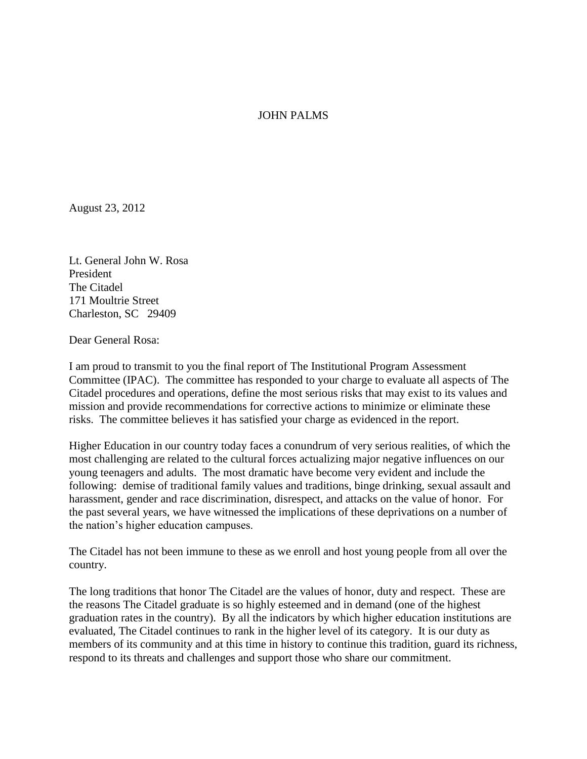## JOHN PALMS

August 23, 2012

Lt. General John W. Rosa President The Citadel 171 Moultrie Street Charleston, SC 29409

Dear General Rosa:

I am proud to transmit to you the final report of The Institutional Program Assessment Committee (IPAC). The committee has responded to your charge to evaluate all aspects of The Citadel procedures and operations, define the most serious risks that may exist to its values and mission and provide recommendations for corrective actions to minimize or eliminate these risks. The committee believes it has satisfied your charge as evidenced in the report.

Higher Education in our country today faces a conundrum of very serious realities, of which the most challenging are related to the cultural forces actualizing major negative influences on our young teenagers and adults. The most dramatic have become very evident and include the following: demise of traditional family values and traditions, binge drinking, sexual assault and harassment, gender and race discrimination, disrespect, and attacks on the value of honor. For the past several years, we have witnessed the implications of these deprivations on a number of the nation's higher education campuses.

The Citadel has not been immune to these as we enroll and host young people from all over the country.

The long traditions that honor The Citadel are the values of honor, duty and respect. These are the reasons The Citadel graduate is so highly esteemed and in demand (one of the highest graduation rates in the country). By all the indicators by which higher education institutions are evaluated, The Citadel continues to rank in the higher level of its category. It is our duty as members of its community and at this time in history to continue this tradition, guard its richness, respond to its threats and challenges and support those who share our commitment.